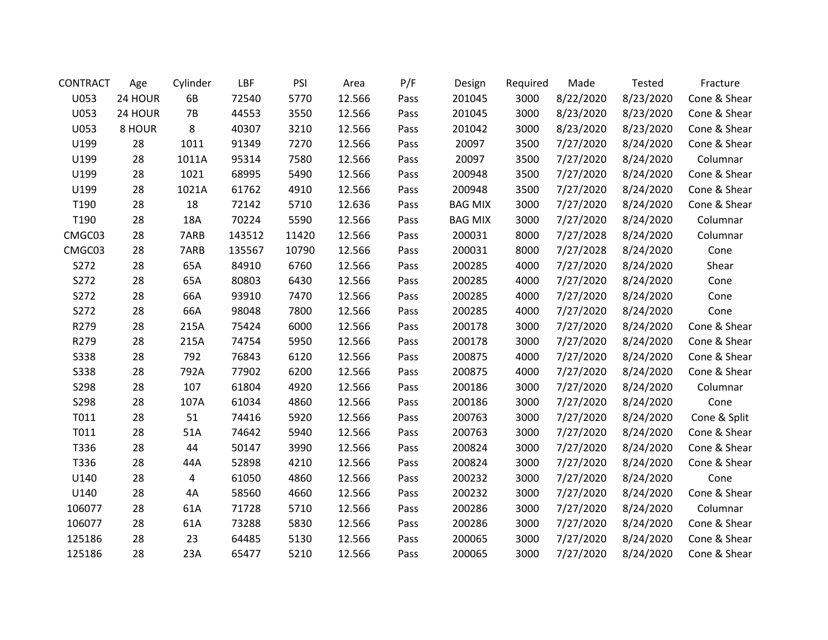| <b>CONTRACT</b> | Age     | Cylinder  | LBF    | PSI   | Area   | P/F  | Design         | Required | Made      | <b>Tested</b> | Fracture     |
|-----------------|---------|-----------|--------|-------|--------|------|----------------|----------|-----------|---------------|--------------|
| U053            | 24 HOUR | 6B        | 72540  | 5770  | 12.566 | Pass | 201045         | 3000     | 8/22/2020 | 8/23/2020     | Cone & Shear |
| U053            | 24 HOUR | <b>7B</b> | 44553  | 3550  | 12.566 | Pass | 201045         | 3000     | 8/23/2020 | 8/23/2020     | Cone & Shear |
| U053            | 8 HOUR  | 8         | 40307  | 3210  | 12.566 | Pass | 201042         | 3000     | 8/23/2020 | 8/23/2020     | Cone & Shear |
| U199            | 28      | 1011      | 91349  | 7270  | 12.566 | Pass | 20097          | 3500     | 7/27/2020 | 8/24/2020     | Cone & Shear |
| U199            | 28      | 1011A     | 95314  | 7580  | 12.566 | Pass | 20097          | 3500     | 7/27/2020 | 8/24/2020     | Columnar     |
| U199            | 28      | 1021      | 68995  | 5490  | 12.566 | Pass | 200948         | 3500     | 7/27/2020 | 8/24/2020     | Cone & Shear |
| U199            | 28      | 1021A     | 61762  | 4910  | 12.566 | Pass | 200948         | 3500     | 7/27/2020 | 8/24/2020     | Cone & Shear |
| T190            | 28      | 18        | 72142  | 5710  | 12.636 | Pass | <b>BAG MIX</b> | 3000     | 7/27/2020 | 8/24/2020     | Cone & Shear |
| T190            | 28      | 18A       | 70224  | 5590  | 12.566 | Pass | <b>BAG MIX</b> | 3000     | 7/27/2020 | 8/24/2020     | Columnar     |
| CMGC03          | 28      | 7ARB      | 143512 | 11420 | 12.566 | Pass | 200031         | 8000     | 7/27/2028 | 8/24/2020     | Columnar     |
| CMGC03          | 28      | 7ARB      | 135567 | 10790 | 12.566 | Pass | 200031         | 8000     | 7/27/2028 | 8/24/2020     | Cone         |
| S272            | 28      | 65A       | 84910  | 6760  | 12.566 | Pass | 200285         | 4000     | 7/27/2020 | 8/24/2020     | Shear        |
| S272            | 28      | 65A       | 80803  | 6430  | 12.566 | Pass | 200285         | 4000     | 7/27/2020 | 8/24/2020     | Cone         |
| S272            | 28      | 66A       | 93910  | 7470  | 12.566 | Pass | 200285         | 4000     | 7/27/2020 | 8/24/2020     | Cone         |
| S272            | 28      | 66A       | 98048  | 7800  | 12.566 | Pass | 200285         | 4000     | 7/27/2020 | 8/24/2020     | Cone         |
| R279            | 28      | 215A      | 75424  | 6000  | 12.566 | Pass | 200178         | 3000     | 7/27/2020 | 8/24/2020     | Cone & Shear |
| R279            | 28      | 215A      | 74754  | 5950  | 12.566 | Pass | 200178         | 3000     | 7/27/2020 | 8/24/2020     | Cone & Shear |
| <b>S338</b>     | 28      | 792       | 76843  | 6120  | 12.566 | Pass | 200875         | 4000     | 7/27/2020 | 8/24/2020     | Cone & Shear |
| <b>S338</b>     | 28      | 792A      | 77902  | 6200  | 12.566 | Pass | 200875         | 4000     | 7/27/2020 | 8/24/2020     | Cone & Shear |
| S298            | 28      | 107       | 61804  | 4920  | 12.566 | Pass | 200186         | 3000     | 7/27/2020 | 8/24/2020     | Columnar     |
| S298            | 28      | 107A      | 61034  | 4860  | 12.566 | Pass | 200186         | 3000     | 7/27/2020 | 8/24/2020     | Cone         |
| T011            | 28      | 51        | 74416  | 5920  | 12.566 | Pass | 200763         | 3000     | 7/27/2020 | 8/24/2020     | Cone & Split |
| T011            | 28      | 51A       | 74642  | 5940  | 12.566 | Pass | 200763         | 3000     | 7/27/2020 | 8/24/2020     | Cone & Shear |
| T336            | 28      | 44        | 50147  | 3990  | 12.566 | Pass | 200824         | 3000     | 7/27/2020 | 8/24/2020     | Cone & Shear |
| T336            | 28      | 44A       | 52898  | 4210  | 12.566 | Pass | 200824         | 3000     | 7/27/2020 | 8/24/2020     | Cone & Shear |
| U140            | 28      | 4         | 61050  | 4860  | 12.566 | Pass | 200232         | 3000     | 7/27/2020 | 8/24/2020     | Cone         |
| U140            | 28      | 4A        | 58560  | 4660  | 12.566 | Pass | 200232         | 3000     | 7/27/2020 | 8/24/2020     | Cone & Shear |
| 106077          | 28      | 61A       | 71728  | 5710  | 12.566 | Pass | 200286         | 3000     | 7/27/2020 | 8/24/2020     | Columnar     |
| 106077          | 28      | 61A       | 73288  | 5830  | 12.566 | Pass | 200286         | 3000     | 7/27/2020 | 8/24/2020     | Cone & Shear |
| 125186          | 28      | 23        | 64485  | 5130  | 12.566 | Pass | 200065         | 3000     | 7/27/2020 | 8/24/2020     | Cone & Shear |
| 125186          | 28      | 23A       | 65477  | 5210  | 12.566 | Pass | 200065         | 3000     | 7/27/2020 | 8/24/2020     | Cone & Shear |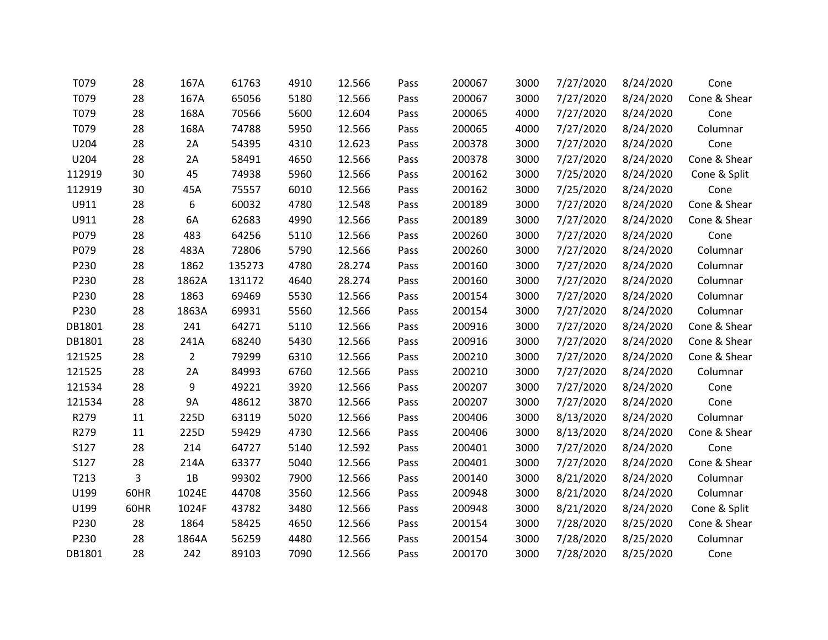| T079   | 28   | 167A           | 61763  | 4910 | 12.566 | Pass | 200067 | 3000 | 7/27/2020 | 8/24/2020 | Cone         |
|--------|------|----------------|--------|------|--------|------|--------|------|-----------|-----------|--------------|
| T079   | 28   | 167A           | 65056  | 5180 | 12.566 | Pass | 200067 | 3000 | 7/27/2020 | 8/24/2020 | Cone & Shear |
| T079   | 28   | 168A           | 70566  | 5600 | 12.604 | Pass | 200065 | 4000 | 7/27/2020 | 8/24/2020 | Cone         |
| T079   | 28   | 168A           | 74788  | 5950 | 12.566 | Pass | 200065 | 4000 | 7/27/2020 | 8/24/2020 | Columnar     |
| U204   | 28   | 2A             | 54395  | 4310 | 12.623 | Pass | 200378 | 3000 | 7/27/2020 | 8/24/2020 | Cone         |
| U204   | 28   | 2A             | 58491  | 4650 | 12.566 | Pass | 200378 | 3000 | 7/27/2020 | 8/24/2020 | Cone & Shear |
| 112919 | 30   | 45             | 74938  | 5960 | 12.566 | Pass | 200162 | 3000 | 7/25/2020 | 8/24/2020 | Cone & Split |
| 112919 | 30   | 45A            | 75557  | 6010 | 12.566 | Pass | 200162 | 3000 | 7/25/2020 | 8/24/2020 | Cone         |
| U911   | 28   | 6              | 60032  | 4780 | 12.548 | Pass | 200189 | 3000 | 7/27/2020 | 8/24/2020 | Cone & Shear |
| U911   | 28   | 6A             | 62683  | 4990 | 12.566 | Pass | 200189 | 3000 | 7/27/2020 | 8/24/2020 | Cone & Shear |
| P079   | 28   | 483            | 64256  | 5110 | 12.566 | Pass | 200260 | 3000 | 7/27/2020 | 8/24/2020 | Cone         |
| P079   | 28   | 483A           | 72806  | 5790 | 12.566 | Pass | 200260 | 3000 | 7/27/2020 | 8/24/2020 | Columnar     |
| P230   | 28   | 1862           | 135273 | 4780 | 28.274 | Pass | 200160 | 3000 | 7/27/2020 | 8/24/2020 | Columnar     |
| P230   | 28   | 1862A          | 131172 | 4640 | 28.274 | Pass | 200160 | 3000 | 7/27/2020 | 8/24/2020 | Columnar     |
| P230   | 28   | 1863           | 69469  | 5530 | 12.566 | Pass | 200154 | 3000 | 7/27/2020 | 8/24/2020 | Columnar     |
| P230   | 28   | 1863A          | 69931  | 5560 | 12.566 | Pass | 200154 | 3000 | 7/27/2020 | 8/24/2020 | Columnar     |
| DB1801 | 28   | 241            | 64271  | 5110 | 12.566 | Pass | 200916 | 3000 | 7/27/2020 | 8/24/2020 | Cone & Shear |
| DB1801 | 28   | 241A           | 68240  | 5430 | 12.566 | Pass | 200916 | 3000 | 7/27/2020 | 8/24/2020 | Cone & Shear |
| 121525 | 28   | $\overline{2}$ | 79299  | 6310 | 12.566 | Pass | 200210 | 3000 | 7/27/2020 | 8/24/2020 | Cone & Shear |
| 121525 | 28   | 2A             | 84993  | 6760 | 12.566 | Pass | 200210 | 3000 | 7/27/2020 | 8/24/2020 | Columnar     |
| 121534 | 28   | 9              | 49221  | 3920 | 12.566 | Pass | 200207 | 3000 | 7/27/2020 | 8/24/2020 | Cone         |
| 121534 | 28   | 9A             | 48612  | 3870 | 12.566 | Pass | 200207 | 3000 | 7/27/2020 | 8/24/2020 | Cone         |
| R279   | 11   | 225D           | 63119  | 5020 | 12.566 | Pass | 200406 | 3000 | 8/13/2020 | 8/24/2020 | Columnar     |
| R279   | 11   | 225D           | 59429  | 4730 | 12.566 | Pass | 200406 | 3000 | 8/13/2020 | 8/24/2020 | Cone & Shear |
| S127   | 28   | 214            | 64727  | 5140 | 12.592 | Pass | 200401 | 3000 | 7/27/2020 | 8/24/2020 | Cone         |
| S127   | 28   | 214A           | 63377  | 5040 | 12.566 | Pass | 200401 | 3000 | 7/27/2020 | 8/24/2020 | Cone & Shear |
| T213   | 3    | 1B             | 99302  | 7900 | 12.566 | Pass | 200140 | 3000 | 8/21/2020 | 8/24/2020 | Columnar     |
| U199   | 60HR | 1024E          | 44708  | 3560 | 12.566 | Pass | 200948 | 3000 | 8/21/2020 | 8/24/2020 | Columnar     |
| U199   | 60HR | 1024F          | 43782  | 3480 | 12.566 | Pass | 200948 | 3000 | 8/21/2020 | 8/24/2020 | Cone & Split |
| P230   | 28   | 1864           | 58425  | 4650 | 12.566 | Pass | 200154 | 3000 | 7/28/2020 | 8/25/2020 | Cone & Shear |
| P230   | 28   | 1864A          | 56259  | 4480 | 12.566 | Pass | 200154 | 3000 | 7/28/2020 | 8/25/2020 | Columnar     |
| DB1801 | 28   | 242            | 89103  | 7090 | 12.566 | Pass | 200170 | 3000 | 7/28/2020 | 8/25/2020 | Cone         |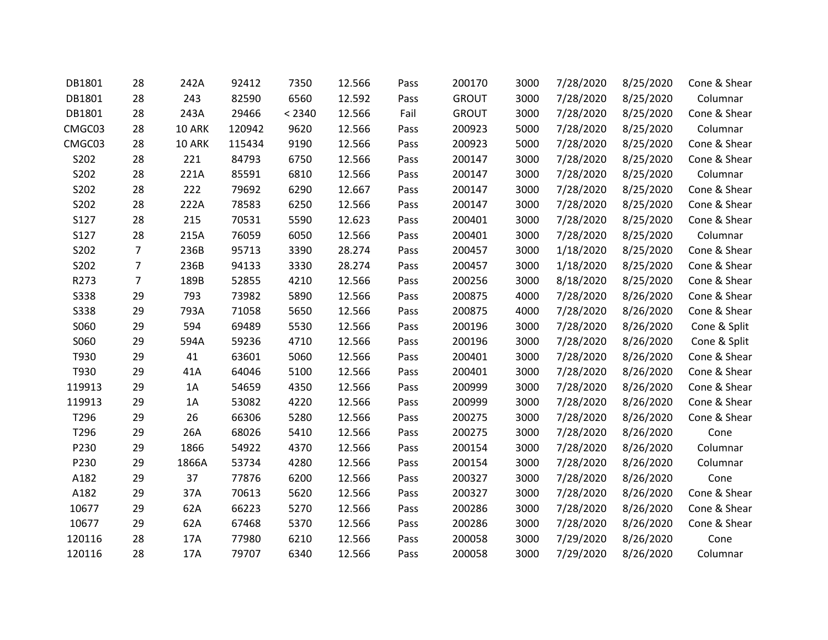| DB1801      | 28             | 242A   | 92412  | 7350   | 12.566 | Pass | 200170       | 3000 | 7/28/2020 | 8/25/2020 | Cone & Shear |
|-------------|----------------|--------|--------|--------|--------|------|--------------|------|-----------|-----------|--------------|
| DB1801      | 28             | 243    | 82590  | 6560   | 12.592 | Pass | <b>GROUT</b> | 3000 | 7/28/2020 | 8/25/2020 | Columnar     |
| DB1801      | 28             | 243A   | 29466  | < 2340 | 12.566 | Fail | <b>GROUT</b> | 3000 | 7/28/2020 | 8/25/2020 | Cone & Shear |
| CMGC03      | 28             | 10 ARK | 120942 | 9620   | 12.566 | Pass | 200923       | 5000 | 7/28/2020 | 8/25/2020 | Columnar     |
| CMGC03      | 28             | 10 ARK | 115434 | 9190   | 12.566 | Pass | 200923       | 5000 | 7/28/2020 | 8/25/2020 | Cone & Shear |
| S202        | 28             | 221    | 84793  | 6750   | 12.566 | Pass | 200147       | 3000 | 7/28/2020 | 8/25/2020 | Cone & Shear |
| S202        | 28             | 221A   | 85591  | 6810   | 12.566 | Pass | 200147       | 3000 | 7/28/2020 | 8/25/2020 | Columnar     |
| S202        | 28             | 222    | 79692  | 6290   | 12.667 | Pass | 200147       | 3000 | 7/28/2020 | 8/25/2020 | Cone & Shear |
| S202        | 28             | 222A   | 78583  | 6250   | 12.566 | Pass | 200147       | 3000 | 7/28/2020 | 8/25/2020 | Cone & Shear |
| S127        | 28             | 215    | 70531  | 5590   | 12.623 | Pass | 200401       | 3000 | 7/28/2020 | 8/25/2020 | Cone & Shear |
| S127        | 28             | 215A   | 76059  | 6050   | 12.566 | Pass | 200401       | 3000 | 7/28/2020 | 8/25/2020 | Columnar     |
| S202        | $\overline{7}$ | 236B   | 95713  | 3390   | 28.274 | Pass | 200457       | 3000 | 1/18/2020 | 8/25/2020 | Cone & Shear |
| S202        | $\overline{7}$ | 236B   | 94133  | 3330   | 28.274 | Pass | 200457       | 3000 | 1/18/2020 | 8/25/2020 | Cone & Shear |
| R273        | $\overline{7}$ | 189B   | 52855  | 4210   | 12.566 | Pass | 200256       | 3000 | 8/18/2020 | 8/25/2020 | Cone & Shear |
| <b>S338</b> | 29             | 793    | 73982  | 5890   | 12.566 | Pass | 200875       | 4000 | 7/28/2020 | 8/26/2020 | Cone & Shear |
| <b>S338</b> | 29             | 793A   | 71058  | 5650   | 12.566 | Pass | 200875       | 4000 | 7/28/2020 | 8/26/2020 | Cone & Shear |
| S060        | 29             | 594    | 69489  | 5530   | 12.566 | Pass | 200196       | 3000 | 7/28/2020 | 8/26/2020 | Cone & Split |
| S060        | 29             | 594A   | 59236  | 4710   | 12.566 | Pass | 200196       | 3000 | 7/28/2020 | 8/26/2020 | Cone & Split |
| T930        | 29             | 41     | 63601  | 5060   | 12.566 | Pass | 200401       | 3000 | 7/28/2020 | 8/26/2020 | Cone & Shear |
| T930        | 29             | 41A    | 64046  | 5100   | 12.566 | Pass | 200401       | 3000 | 7/28/2020 | 8/26/2020 | Cone & Shear |
| 119913      | 29             | 1A     | 54659  | 4350   | 12.566 | Pass | 200999       | 3000 | 7/28/2020 | 8/26/2020 | Cone & Shear |
| 119913      | 29             | 1A     | 53082  | 4220   | 12.566 | Pass | 200999       | 3000 | 7/28/2020 | 8/26/2020 | Cone & Shear |
| T296        | 29             | 26     | 66306  | 5280   | 12.566 | Pass | 200275       | 3000 | 7/28/2020 | 8/26/2020 | Cone & Shear |
| T296        | 29             | 26A    | 68026  | 5410   | 12.566 | Pass | 200275       | 3000 | 7/28/2020 | 8/26/2020 | Cone         |
| P230        | 29             | 1866   | 54922  | 4370   | 12.566 | Pass | 200154       | 3000 | 7/28/2020 | 8/26/2020 | Columnar     |
| P230        | 29             | 1866A  | 53734  | 4280   | 12.566 | Pass | 200154       | 3000 | 7/28/2020 | 8/26/2020 | Columnar     |
| A182        | 29             | 37     | 77876  | 6200   | 12.566 | Pass | 200327       | 3000 | 7/28/2020 | 8/26/2020 | Cone         |
| A182        | 29             | 37A    | 70613  | 5620   | 12.566 | Pass | 200327       | 3000 | 7/28/2020 | 8/26/2020 | Cone & Shear |
| 10677       | 29             | 62A    | 66223  | 5270   | 12.566 | Pass | 200286       | 3000 | 7/28/2020 | 8/26/2020 | Cone & Shear |
| 10677       | 29             | 62A    | 67468  | 5370   | 12.566 | Pass | 200286       | 3000 | 7/28/2020 | 8/26/2020 | Cone & Shear |
| 120116      | 28             | 17A    | 77980  | 6210   | 12.566 | Pass | 200058       | 3000 | 7/29/2020 | 8/26/2020 | Cone         |
| 120116      | 28             | 17A    | 79707  | 6340   | 12.566 | Pass | 200058       | 3000 | 7/29/2020 | 8/26/2020 | Columnar     |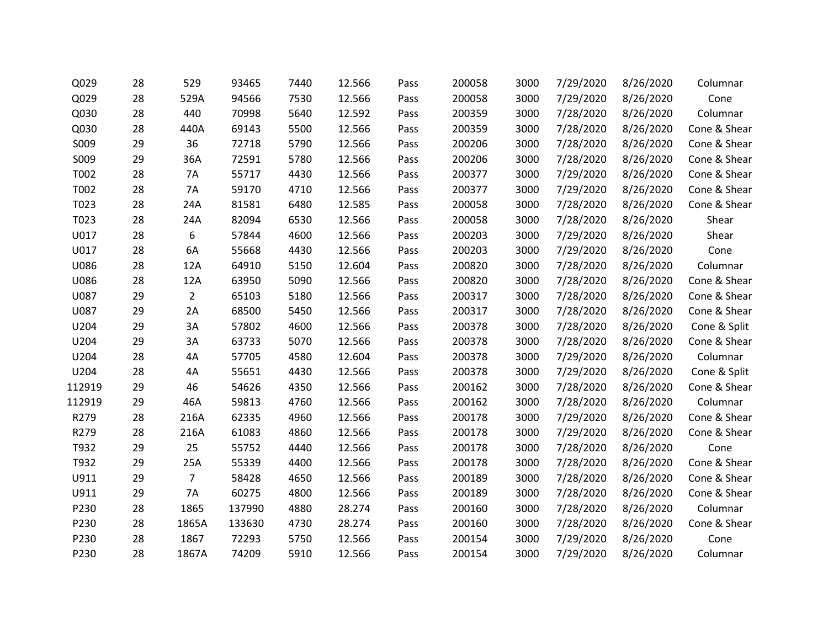| Q029   | 28 | 529            | 93465  | 7440 | 12.566 | Pass | 200058 | 3000 | 7/29/2020 | 8/26/2020 | Columnar     |
|--------|----|----------------|--------|------|--------|------|--------|------|-----------|-----------|--------------|
| Q029   | 28 | 529A           | 94566  | 7530 | 12.566 | Pass | 200058 | 3000 | 7/29/2020 | 8/26/2020 | Cone         |
| Q030   | 28 | 440            | 70998  | 5640 | 12.592 | Pass | 200359 | 3000 | 7/28/2020 | 8/26/2020 | Columnar     |
| Q030   | 28 | 440A           | 69143  | 5500 | 12.566 | Pass | 200359 | 3000 | 7/28/2020 | 8/26/2020 | Cone & Shear |
| S009   | 29 | 36             | 72718  | 5790 | 12.566 | Pass | 200206 | 3000 | 7/28/2020 | 8/26/2020 | Cone & Shear |
| S009   | 29 | 36A            | 72591  | 5780 | 12.566 | Pass | 200206 | 3000 | 7/28/2020 | 8/26/2020 | Cone & Shear |
| T002   | 28 | <b>7A</b>      | 55717  | 4430 | 12.566 | Pass | 200377 | 3000 | 7/29/2020 | 8/26/2020 | Cone & Shear |
| T002   | 28 | 7A             | 59170  | 4710 | 12.566 | Pass | 200377 | 3000 | 7/29/2020 | 8/26/2020 | Cone & Shear |
| T023   | 28 | 24A            | 81581  | 6480 | 12.585 | Pass | 200058 | 3000 | 7/28/2020 | 8/26/2020 | Cone & Shear |
| T023   | 28 | 24A            | 82094  | 6530 | 12.566 | Pass | 200058 | 3000 | 7/28/2020 | 8/26/2020 | Shear        |
| U017   | 28 | 6              | 57844  | 4600 | 12.566 | Pass | 200203 | 3000 | 7/29/2020 | 8/26/2020 | Shear        |
| U017   | 28 | 6A             | 55668  | 4430 | 12.566 | Pass | 200203 | 3000 | 7/29/2020 | 8/26/2020 | Cone         |
| U086   | 28 | 12A            | 64910  | 5150 | 12.604 | Pass | 200820 | 3000 | 7/28/2020 | 8/26/2020 | Columnar     |
| U086   | 28 | 12A            | 63950  | 5090 | 12.566 | Pass | 200820 | 3000 | 7/28/2020 | 8/26/2020 | Cone & Shear |
| U087   | 29 | $\overline{2}$ | 65103  | 5180 | 12.566 | Pass | 200317 | 3000 | 7/28/2020 | 8/26/2020 | Cone & Shear |
| U087   | 29 | 2A             | 68500  | 5450 | 12.566 | Pass | 200317 | 3000 | 7/28/2020 | 8/26/2020 | Cone & Shear |
| U204   | 29 | 3A             | 57802  | 4600 | 12.566 | Pass | 200378 | 3000 | 7/28/2020 | 8/26/2020 | Cone & Split |
| U204   | 29 | 3A             | 63733  | 5070 | 12.566 | Pass | 200378 | 3000 | 7/28/2020 | 8/26/2020 | Cone & Shear |
| U204   | 28 | 4A             | 57705  | 4580 | 12.604 | Pass | 200378 | 3000 | 7/29/2020 | 8/26/2020 | Columnar     |
| U204   | 28 | 4A             | 55651  | 4430 | 12.566 | Pass | 200378 | 3000 | 7/29/2020 | 8/26/2020 | Cone & Split |
| 112919 | 29 | 46             | 54626  | 4350 | 12.566 | Pass | 200162 | 3000 | 7/28/2020 | 8/26/2020 | Cone & Shear |
| 112919 | 29 | 46A            | 59813  | 4760 | 12.566 | Pass | 200162 | 3000 | 7/28/2020 | 8/26/2020 | Columnar     |
| R279   | 28 | 216A           | 62335  | 4960 | 12.566 | Pass | 200178 | 3000 | 7/29/2020 | 8/26/2020 | Cone & Shear |
| R279   | 28 | 216A           | 61083  | 4860 | 12.566 | Pass | 200178 | 3000 | 7/29/2020 | 8/26/2020 | Cone & Shear |
| T932   | 29 | 25             | 55752  | 4440 | 12.566 | Pass | 200178 | 3000 | 7/28/2020 | 8/26/2020 | Cone         |
| T932   | 29 | 25A            | 55339  | 4400 | 12.566 | Pass | 200178 | 3000 | 7/28/2020 | 8/26/2020 | Cone & Shear |
| U911   | 29 | $\overline{7}$ | 58428  | 4650 | 12.566 | Pass | 200189 | 3000 | 7/28/2020 | 8/26/2020 | Cone & Shear |
| U911   | 29 | 7A             | 60275  | 4800 | 12.566 | Pass | 200189 | 3000 | 7/28/2020 | 8/26/2020 | Cone & Shear |
| P230   | 28 | 1865           | 137990 | 4880 | 28.274 | Pass | 200160 | 3000 | 7/28/2020 | 8/26/2020 | Columnar     |
| P230   | 28 | 1865A          | 133630 | 4730 | 28.274 | Pass | 200160 | 3000 | 7/28/2020 | 8/26/2020 | Cone & Shear |
| P230   | 28 | 1867           | 72293  | 5750 | 12.566 | Pass | 200154 | 3000 | 7/29/2020 | 8/26/2020 | Cone         |
| P230   | 28 | 1867A          | 74209  | 5910 | 12.566 | Pass | 200154 | 3000 | 7/29/2020 | 8/26/2020 | Columnar     |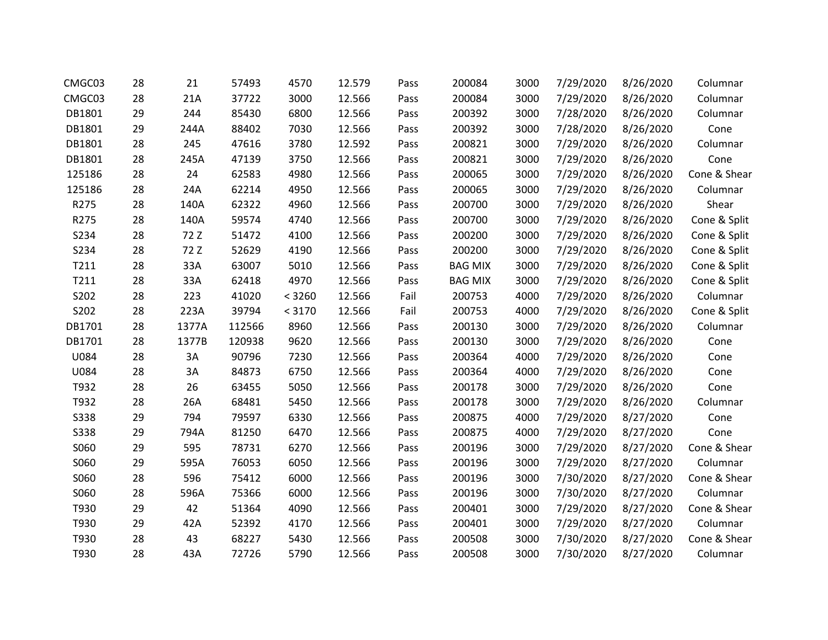| CMGC03 | 28 | 21    | 57493  | 4570   | 12.579 | Pass | 200084         | 3000 | 7/29/2020 | 8/26/2020 | Columnar     |
|--------|----|-------|--------|--------|--------|------|----------------|------|-----------|-----------|--------------|
| CMGC03 | 28 | 21A   | 37722  | 3000   | 12.566 | Pass | 200084         | 3000 | 7/29/2020 | 8/26/2020 | Columnar     |
| DB1801 | 29 | 244   | 85430  | 6800   | 12.566 | Pass | 200392         | 3000 | 7/28/2020 | 8/26/2020 | Columnar     |
| DB1801 | 29 | 244A  | 88402  | 7030   | 12.566 | Pass | 200392         | 3000 | 7/28/2020 | 8/26/2020 | Cone         |
| DB1801 | 28 | 245   | 47616  | 3780   | 12.592 | Pass | 200821         | 3000 | 7/29/2020 | 8/26/2020 | Columnar     |
| DB1801 | 28 | 245A  | 47139  | 3750   | 12.566 | Pass | 200821         | 3000 | 7/29/2020 | 8/26/2020 | Cone         |
| 125186 | 28 | 24    | 62583  | 4980   | 12.566 | Pass | 200065         | 3000 | 7/29/2020 | 8/26/2020 | Cone & Shear |
| 125186 | 28 | 24A   | 62214  | 4950   | 12.566 | Pass | 200065         | 3000 | 7/29/2020 | 8/26/2020 | Columnar     |
| R275   | 28 | 140A  | 62322  | 4960   | 12.566 | Pass | 200700         | 3000 | 7/29/2020 | 8/26/2020 | Shear        |
| R275   | 28 | 140A  | 59574  | 4740   | 12.566 | Pass | 200700         | 3000 | 7/29/2020 | 8/26/2020 | Cone & Split |
| S234   | 28 | 72 Z  | 51472  | 4100   | 12.566 | Pass | 200200         | 3000 | 7/29/2020 | 8/26/2020 | Cone & Split |
| S234   | 28 | 72 Z  | 52629  | 4190   | 12.566 | Pass | 200200         | 3000 | 7/29/2020 | 8/26/2020 | Cone & Split |
| T211   | 28 | 33A   | 63007  | 5010   | 12.566 | Pass | <b>BAG MIX</b> | 3000 | 7/29/2020 | 8/26/2020 | Cone & Split |
| T211   | 28 | 33A   | 62418  | 4970   | 12.566 | Pass | <b>BAG MIX</b> | 3000 | 7/29/2020 | 8/26/2020 | Cone & Split |
| S202   | 28 | 223   | 41020  | < 3260 | 12.566 | Fail | 200753         | 4000 | 7/29/2020 | 8/26/2020 | Columnar     |
| S202   | 28 | 223A  | 39794  | < 3170 | 12.566 | Fail | 200753         | 4000 | 7/29/2020 | 8/26/2020 | Cone & Split |
| DB1701 | 28 | 1377A | 112566 | 8960   | 12.566 | Pass | 200130         | 3000 | 7/29/2020 | 8/26/2020 | Columnar     |
| DB1701 | 28 | 1377B | 120938 | 9620   | 12.566 | Pass | 200130         | 3000 | 7/29/2020 | 8/26/2020 | Cone         |
| U084   | 28 | 3A    | 90796  | 7230   | 12.566 | Pass | 200364         | 4000 | 7/29/2020 | 8/26/2020 | Cone         |
| U084   | 28 | 3A    | 84873  | 6750   | 12.566 | Pass | 200364         | 4000 | 7/29/2020 | 8/26/2020 | Cone         |
| T932   | 28 | 26    | 63455  | 5050   | 12.566 | Pass | 200178         | 3000 | 7/29/2020 | 8/26/2020 | Cone         |
| T932   | 28 | 26A   | 68481  | 5450   | 12.566 | Pass | 200178         | 3000 | 7/29/2020 | 8/26/2020 | Columnar     |
| S338   | 29 | 794   | 79597  | 6330   | 12.566 | Pass | 200875         | 4000 | 7/29/2020 | 8/27/2020 | Cone         |
| S338   | 29 | 794A  | 81250  | 6470   | 12.566 | Pass | 200875         | 4000 | 7/29/2020 | 8/27/2020 | Cone         |
| S060   | 29 | 595   | 78731  | 6270   | 12.566 | Pass | 200196         | 3000 | 7/29/2020 | 8/27/2020 | Cone & Shear |
| S060   | 29 | 595A  | 76053  | 6050   | 12.566 | Pass | 200196         | 3000 | 7/29/2020 | 8/27/2020 | Columnar     |
| S060   | 28 | 596   | 75412  | 6000   | 12.566 | Pass | 200196         | 3000 | 7/30/2020 | 8/27/2020 | Cone & Shear |
| S060   | 28 | 596A  | 75366  | 6000   | 12.566 | Pass | 200196         | 3000 | 7/30/2020 | 8/27/2020 | Columnar     |
| T930   | 29 | 42    | 51364  | 4090   | 12.566 | Pass | 200401         | 3000 | 7/29/2020 | 8/27/2020 | Cone & Shear |
| T930   | 29 | 42A   | 52392  | 4170   | 12.566 | Pass | 200401         | 3000 | 7/29/2020 | 8/27/2020 | Columnar     |
| T930   | 28 | 43    | 68227  | 5430   | 12.566 | Pass | 200508         | 3000 | 7/30/2020 | 8/27/2020 | Cone & Shear |
| T930   | 28 | 43A   | 72726  | 5790   | 12.566 | Pass | 200508         | 3000 | 7/30/2020 | 8/27/2020 | Columnar     |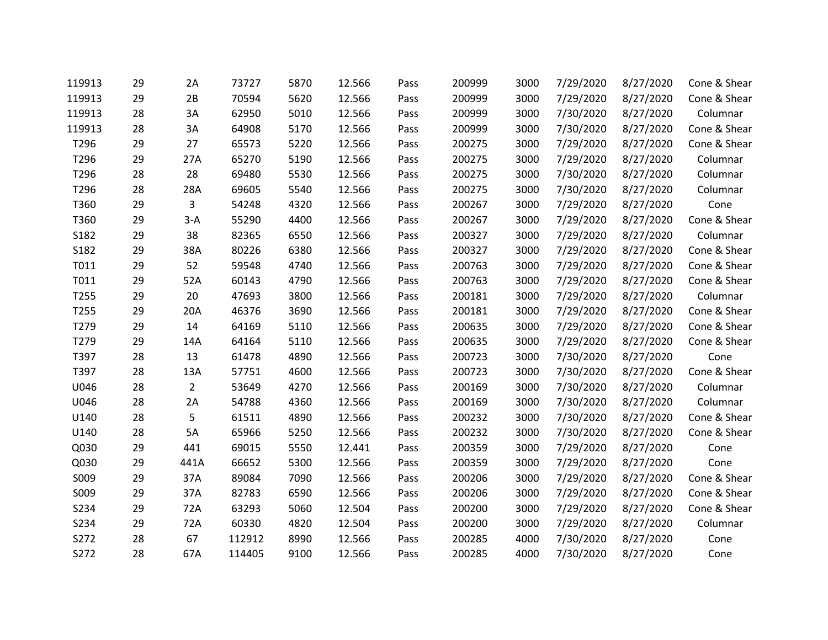| 119913 | 29 | 2A             | 73727  | 5870 | 12.566 | Pass | 200999 | 3000 | 7/29/2020 | 8/27/2020 | Cone & Shear |
|--------|----|----------------|--------|------|--------|------|--------|------|-----------|-----------|--------------|
| 119913 | 29 | 2B             | 70594  | 5620 | 12.566 | Pass | 200999 | 3000 | 7/29/2020 | 8/27/2020 | Cone & Shear |
| 119913 | 28 | 3A             | 62950  | 5010 | 12.566 | Pass | 200999 | 3000 | 7/30/2020 | 8/27/2020 | Columnar     |
| 119913 | 28 | 3A             | 64908  | 5170 | 12.566 | Pass | 200999 | 3000 | 7/30/2020 | 8/27/2020 | Cone & Shear |
| T296   | 29 | 27             | 65573  | 5220 | 12.566 | Pass | 200275 | 3000 | 7/29/2020 | 8/27/2020 | Cone & Shear |
| T296   | 29 | 27A            | 65270  | 5190 | 12.566 | Pass | 200275 | 3000 | 7/29/2020 | 8/27/2020 | Columnar     |
| T296   | 28 | 28             | 69480  | 5530 | 12.566 | Pass | 200275 | 3000 | 7/30/2020 | 8/27/2020 | Columnar     |
| T296   | 28 | 28A            | 69605  | 5540 | 12.566 | Pass | 200275 | 3000 | 7/30/2020 | 8/27/2020 | Columnar     |
| T360   | 29 | 3              | 54248  | 4320 | 12.566 | Pass | 200267 | 3000 | 7/29/2020 | 8/27/2020 | Cone         |
| T360   | 29 | $3-A$          | 55290  | 4400 | 12.566 | Pass | 200267 | 3000 | 7/29/2020 | 8/27/2020 | Cone & Shear |
| S182   | 29 | 38             | 82365  | 6550 | 12.566 | Pass | 200327 | 3000 | 7/29/2020 | 8/27/2020 | Columnar     |
| S182   | 29 | 38A            | 80226  | 6380 | 12.566 | Pass | 200327 | 3000 | 7/29/2020 | 8/27/2020 | Cone & Shear |
| T011   | 29 | 52             | 59548  | 4740 | 12.566 | Pass | 200763 | 3000 | 7/29/2020 | 8/27/2020 | Cone & Shear |
| T011   | 29 | 52A            | 60143  | 4790 | 12.566 | Pass | 200763 | 3000 | 7/29/2020 | 8/27/2020 | Cone & Shear |
| T255   | 29 | 20             | 47693  | 3800 | 12.566 | Pass | 200181 | 3000 | 7/29/2020 | 8/27/2020 | Columnar     |
| T255   | 29 | 20A            | 46376  | 3690 | 12.566 | Pass | 200181 | 3000 | 7/29/2020 | 8/27/2020 | Cone & Shear |
| T279   | 29 | 14             | 64169  | 5110 | 12.566 | Pass | 200635 | 3000 | 7/29/2020 | 8/27/2020 | Cone & Shear |
| T279   | 29 | 14A            | 64164  | 5110 | 12.566 | Pass | 200635 | 3000 | 7/29/2020 | 8/27/2020 | Cone & Shear |
| T397   | 28 | 13             | 61478  | 4890 | 12.566 | Pass | 200723 | 3000 | 7/30/2020 | 8/27/2020 | Cone         |
| T397   | 28 | 13A            | 57751  | 4600 | 12.566 | Pass | 200723 | 3000 | 7/30/2020 | 8/27/2020 | Cone & Shear |
| U046   | 28 | $\overline{2}$ | 53649  | 4270 | 12.566 | Pass | 200169 | 3000 | 7/30/2020 | 8/27/2020 | Columnar     |
| U046   | 28 | 2A             | 54788  | 4360 | 12.566 | Pass | 200169 | 3000 | 7/30/2020 | 8/27/2020 | Columnar     |
| U140   | 28 | 5              | 61511  | 4890 | 12.566 | Pass | 200232 | 3000 | 7/30/2020 | 8/27/2020 | Cone & Shear |
| U140   | 28 | 5A             | 65966  | 5250 | 12.566 | Pass | 200232 | 3000 | 7/30/2020 | 8/27/2020 | Cone & Shear |
| Q030   | 29 | 441            | 69015  | 5550 | 12.441 | Pass | 200359 | 3000 | 7/29/2020 | 8/27/2020 | Cone         |
| Q030   | 29 | 441A           | 66652  | 5300 | 12.566 | Pass | 200359 | 3000 | 7/29/2020 | 8/27/2020 | Cone         |
| S009   | 29 | 37A            | 89084  | 7090 | 12.566 | Pass | 200206 | 3000 | 7/29/2020 | 8/27/2020 | Cone & Shear |
| S009   | 29 | 37A            | 82783  | 6590 | 12.566 | Pass | 200206 | 3000 | 7/29/2020 | 8/27/2020 | Cone & Shear |
| S234   | 29 | 72A            | 63293  | 5060 | 12.504 | Pass | 200200 | 3000 | 7/29/2020 | 8/27/2020 | Cone & Shear |
| S234   | 29 | 72A            | 60330  | 4820 | 12.504 | Pass | 200200 | 3000 | 7/29/2020 | 8/27/2020 | Columnar     |
| S272   | 28 | 67             | 112912 | 8990 | 12.566 | Pass | 200285 | 4000 | 7/30/2020 | 8/27/2020 | Cone         |
| S272   | 28 | 67A            | 114405 | 9100 | 12.566 | Pass | 200285 | 4000 | 7/30/2020 | 8/27/2020 | Cone         |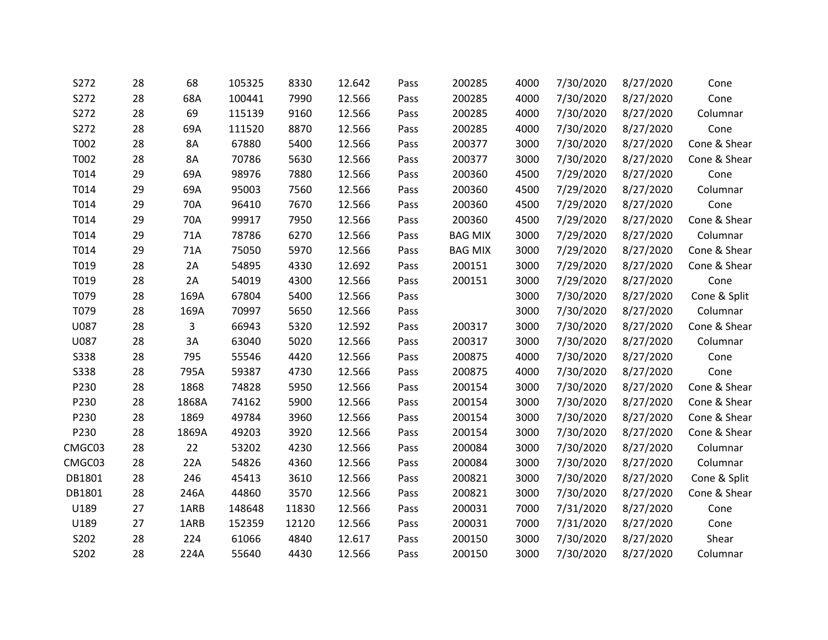| S272        | 28 | 68        | 105325 | 8330  | 12.642 | Pass | 200285         | 4000 | 7/30/2020 | 8/27/2020 | Cone         |
|-------------|----|-----------|--------|-------|--------|------|----------------|------|-----------|-----------|--------------|
| S272        | 28 | 68A       | 100441 | 7990  | 12.566 | Pass | 200285         | 4000 | 7/30/2020 | 8/27/2020 | Cone         |
| S272        | 28 | 69        | 115139 | 9160  | 12.566 | Pass | 200285         | 4000 | 7/30/2020 | 8/27/2020 | Columnar     |
| S272        | 28 | 69A       | 111520 | 8870  | 12.566 | Pass | 200285         | 4000 | 7/30/2020 | 8/27/2020 | Cone         |
| T002        | 28 | 8A        | 67880  | 5400  | 12.566 | Pass | 200377         | 3000 | 7/30/2020 | 8/27/2020 | Cone & Shear |
| T002        | 28 | <b>8A</b> | 70786  | 5630  | 12.566 | Pass | 200377         | 3000 | 7/30/2020 | 8/27/2020 | Cone & Shear |
| T014        | 29 | 69A       | 98976  | 7880  | 12.566 | Pass | 200360         | 4500 | 7/29/2020 | 8/27/2020 | Cone         |
| T014        | 29 | 69A       | 95003  | 7560  | 12.566 | Pass | 200360         | 4500 | 7/29/2020 | 8/27/2020 | Columnar     |
| T014        | 29 | 70A       | 96410  | 7670  | 12.566 | Pass | 200360         | 4500 | 7/29/2020 | 8/27/2020 | Cone         |
| T014        | 29 | 70A       | 99917  | 7950  | 12.566 | Pass | 200360         | 4500 | 7/29/2020 | 8/27/2020 | Cone & Shear |
| T014        | 29 | 71A       | 78786  | 6270  | 12.566 | Pass | <b>BAG MIX</b> | 3000 | 7/29/2020 | 8/27/2020 | Columnar     |
| T014        | 29 | 71A       | 75050  | 5970  | 12.566 | Pass | <b>BAG MIX</b> | 3000 | 7/29/2020 | 8/27/2020 | Cone & Shear |
| T019        | 28 | 2A        | 54895  | 4330  | 12.692 | Pass | 200151         | 3000 | 7/29/2020 | 8/27/2020 | Cone & Shear |
| T019        | 28 | 2A        | 54019  | 4300  | 12.566 | Pass | 200151         | 3000 | 7/29/2020 | 8/27/2020 | Cone         |
| T079        | 28 | 169A      | 67804  | 5400  | 12.566 | Pass |                | 3000 | 7/30/2020 | 8/27/2020 | Cone & Split |
| T079        | 28 | 169A      | 70997  | 5650  | 12.566 | Pass |                | 3000 | 7/30/2020 | 8/27/2020 | Columnar     |
| U087        | 28 | 3         | 66943  | 5320  | 12.592 | Pass | 200317         | 3000 | 7/30/2020 | 8/27/2020 | Cone & Shear |
| U087        | 28 | 3A        | 63040  | 5020  | 12.566 | Pass | 200317         | 3000 | 7/30/2020 | 8/27/2020 | Columnar     |
| <b>S338</b> | 28 | 795       | 55546  | 4420  | 12.566 | Pass | 200875         | 4000 | 7/30/2020 | 8/27/2020 | Cone         |
| S338        | 28 | 795A      | 59387  | 4730  | 12.566 | Pass | 200875         | 4000 | 7/30/2020 | 8/27/2020 | Cone         |
| P230        | 28 | 1868      | 74828  | 5950  | 12.566 | Pass | 200154         | 3000 | 7/30/2020 | 8/27/2020 | Cone & Shear |
| P230        | 28 | 1868A     | 74162  | 5900  | 12.566 | Pass | 200154         | 3000 | 7/30/2020 | 8/27/2020 | Cone & Shear |
| P230        | 28 | 1869      | 49784  | 3960  | 12.566 | Pass | 200154         | 3000 | 7/30/2020 | 8/27/2020 | Cone & Shear |
| P230        | 28 | 1869A     | 49203  | 3920  | 12.566 | Pass | 200154         | 3000 | 7/30/2020 | 8/27/2020 | Cone & Shear |
| CMGC03      | 28 | 22        | 53202  | 4230  | 12.566 | Pass | 200084         | 3000 | 7/30/2020 | 8/27/2020 | Columnar     |
| CMGC03      | 28 | 22A       | 54826  | 4360  | 12.566 | Pass | 200084         | 3000 | 7/30/2020 | 8/27/2020 | Columnar     |
| DB1801      | 28 | 246       | 45413  | 3610  | 12.566 | Pass | 200821         | 3000 | 7/30/2020 | 8/27/2020 | Cone & Split |
| DB1801      | 28 | 246A      | 44860  | 3570  | 12.566 | Pass | 200821         | 3000 | 7/30/2020 | 8/27/2020 | Cone & Shear |
| U189        | 27 | 1ARB      | 148648 | 11830 | 12.566 | Pass | 200031         | 7000 | 7/31/2020 | 8/27/2020 | Cone         |
| U189        | 27 | 1ARB      | 152359 | 12120 | 12.566 | Pass | 200031         | 7000 | 7/31/2020 | 8/27/2020 | Cone         |
| S202        | 28 | 224       | 61066  | 4840  | 12.617 | Pass | 200150         | 3000 | 7/30/2020 | 8/27/2020 | Shear        |
| S202        | 28 | 224A      | 55640  | 4430  | 12.566 | Pass | 200150         | 3000 | 7/30/2020 | 8/27/2020 | Columnar     |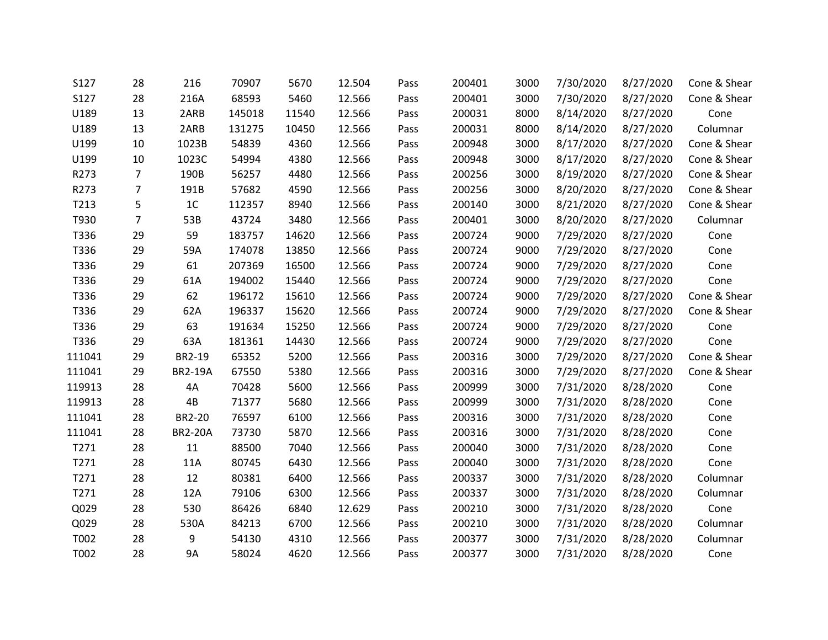| S127   | 28             | 216            | 70907  | 5670  | 12.504 | Pass | 200401 | 3000 | 7/30/2020 | 8/27/2020 | Cone & Shear |
|--------|----------------|----------------|--------|-------|--------|------|--------|------|-----------|-----------|--------------|
| S127   | 28             | 216A           | 68593  | 5460  | 12.566 | Pass | 200401 | 3000 | 7/30/2020 | 8/27/2020 | Cone & Shear |
| U189   | 13             | 2ARB           | 145018 | 11540 | 12.566 | Pass | 200031 | 8000 | 8/14/2020 | 8/27/2020 | Cone         |
| U189   | 13             | 2ARB           | 131275 | 10450 | 12.566 | Pass | 200031 | 8000 | 8/14/2020 | 8/27/2020 | Columnar     |
| U199   | 10             | 1023B          | 54839  | 4360  | 12.566 | Pass | 200948 | 3000 | 8/17/2020 | 8/27/2020 | Cone & Shear |
| U199   | 10             | 1023C          | 54994  | 4380  | 12.566 | Pass | 200948 | 3000 | 8/17/2020 | 8/27/2020 | Cone & Shear |
| R273   | $\overline{7}$ | 190B           | 56257  | 4480  | 12.566 | Pass | 200256 | 3000 | 8/19/2020 | 8/27/2020 | Cone & Shear |
| R273   | $\overline{7}$ | 191B           | 57682  | 4590  | 12.566 | Pass | 200256 | 3000 | 8/20/2020 | 8/27/2020 | Cone & Shear |
| T213   | 5              | 1C             | 112357 | 8940  | 12.566 | Pass | 200140 | 3000 | 8/21/2020 | 8/27/2020 | Cone & Shear |
| T930   | $\overline{7}$ | 53B            | 43724  | 3480  | 12.566 | Pass | 200401 | 3000 | 8/20/2020 | 8/27/2020 | Columnar     |
| T336   | 29             | 59             | 183757 | 14620 | 12.566 | Pass | 200724 | 9000 | 7/29/2020 | 8/27/2020 | Cone         |
| T336   | 29             | 59A            | 174078 | 13850 | 12.566 | Pass | 200724 | 9000 | 7/29/2020 | 8/27/2020 | Cone         |
| T336   | 29             | 61             | 207369 | 16500 | 12.566 | Pass | 200724 | 9000 | 7/29/2020 | 8/27/2020 | Cone         |
| T336   | 29             | 61A            | 194002 | 15440 | 12.566 | Pass | 200724 | 9000 | 7/29/2020 | 8/27/2020 | Cone         |
| T336   | 29             | 62             | 196172 | 15610 | 12.566 | Pass | 200724 | 9000 | 7/29/2020 | 8/27/2020 | Cone & Shear |
| T336   | 29             | 62A            | 196337 | 15620 | 12.566 | Pass | 200724 | 9000 | 7/29/2020 | 8/27/2020 | Cone & Shear |
| T336   | 29             | 63             | 191634 | 15250 | 12.566 | Pass | 200724 | 9000 | 7/29/2020 | 8/27/2020 | Cone         |
| T336   | 29             | 63A            | 181361 | 14430 | 12.566 | Pass | 200724 | 9000 | 7/29/2020 | 8/27/2020 | Cone         |
| 111041 | 29             | BR2-19         | 65352  | 5200  | 12.566 | Pass | 200316 | 3000 | 7/29/2020 | 8/27/2020 | Cone & Shear |
| 111041 | 29             | <b>BR2-19A</b> | 67550  | 5380  | 12.566 | Pass | 200316 | 3000 | 7/29/2020 | 8/27/2020 | Cone & Shear |
| 119913 | 28             | 4A             | 70428  | 5600  | 12.566 | Pass | 200999 | 3000 | 7/31/2020 | 8/28/2020 | Cone         |
| 119913 | 28             | 4B             | 71377  | 5680  | 12.566 | Pass | 200999 | 3000 | 7/31/2020 | 8/28/2020 | Cone         |
| 111041 | 28             | BR2-20         | 76597  | 6100  | 12.566 | Pass | 200316 | 3000 | 7/31/2020 | 8/28/2020 | Cone         |
| 111041 | 28             | <b>BR2-20A</b> | 73730  | 5870  | 12.566 | Pass | 200316 | 3000 | 7/31/2020 | 8/28/2020 | Cone         |
| T271   | 28             | 11             | 88500  | 7040  | 12.566 | Pass | 200040 | 3000 | 7/31/2020 | 8/28/2020 | Cone         |
| T271   | 28             | 11A            | 80745  | 6430  | 12.566 | Pass | 200040 | 3000 | 7/31/2020 | 8/28/2020 | Cone         |
| T271   | 28             | 12             | 80381  | 6400  | 12.566 | Pass | 200337 | 3000 | 7/31/2020 | 8/28/2020 | Columnar     |
| T271   | 28             | 12A            | 79106  | 6300  | 12.566 | Pass | 200337 | 3000 | 7/31/2020 | 8/28/2020 | Columnar     |
| Q029   | 28             | 530            | 86426  | 6840  | 12.629 | Pass | 200210 | 3000 | 7/31/2020 | 8/28/2020 | Cone         |
| Q029   | 28             | 530A           | 84213  | 6700  | 12.566 | Pass | 200210 | 3000 | 7/31/2020 | 8/28/2020 | Columnar     |
| T002   | 28             | 9              | 54130  | 4310  | 12.566 | Pass | 200377 | 3000 | 7/31/2020 | 8/28/2020 | Columnar     |
| T002   | 28             | <b>9A</b>      | 58024  | 4620  | 12.566 | Pass | 200377 | 3000 | 7/31/2020 | 8/28/2020 | Cone         |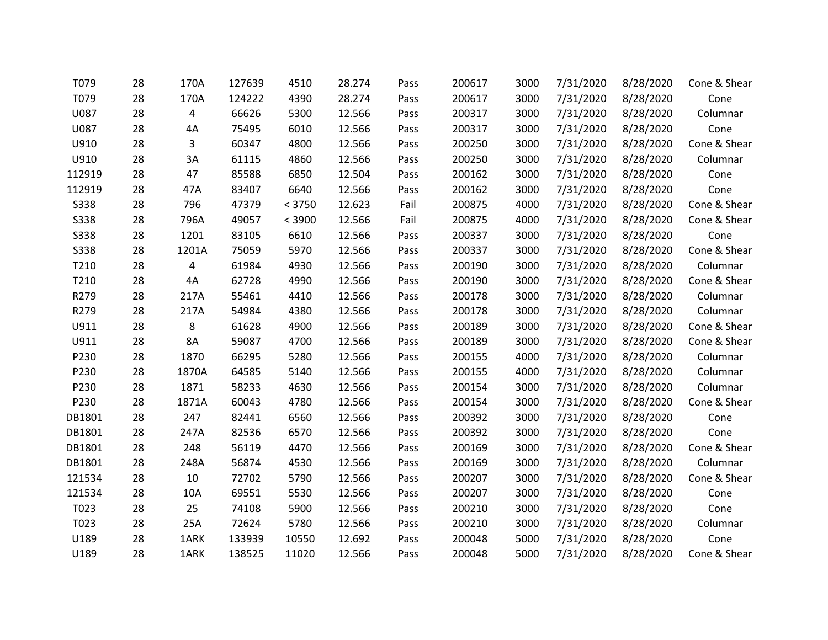| T079   | 28 | 170A  | 127639 | 4510   | 28.274 | Pass | 200617 | 3000 | 7/31/2020 | 8/28/2020 | Cone & Shear |
|--------|----|-------|--------|--------|--------|------|--------|------|-----------|-----------|--------------|
| T079   | 28 | 170A  | 124222 | 4390   | 28.274 | Pass | 200617 | 3000 | 7/31/2020 | 8/28/2020 | Cone         |
| U087   | 28 | 4     | 66626  | 5300   | 12.566 | Pass | 200317 | 3000 | 7/31/2020 | 8/28/2020 | Columnar     |
| U087   | 28 | 4A    | 75495  | 6010   | 12.566 | Pass | 200317 | 3000 | 7/31/2020 | 8/28/2020 | Cone         |
| U910   | 28 | 3     | 60347  | 4800   | 12.566 | Pass | 200250 | 3000 | 7/31/2020 | 8/28/2020 | Cone & Shear |
| U910   | 28 | 3A    | 61115  | 4860   | 12.566 | Pass | 200250 | 3000 | 7/31/2020 | 8/28/2020 | Columnar     |
| 112919 | 28 | 47    | 85588  | 6850   | 12.504 | Pass | 200162 | 3000 | 7/31/2020 | 8/28/2020 | Cone         |
| 112919 | 28 | 47A   | 83407  | 6640   | 12.566 | Pass | 200162 | 3000 | 7/31/2020 | 8/28/2020 | Cone         |
| S338   | 28 | 796   | 47379  | < 3750 | 12.623 | Fail | 200875 | 4000 | 7/31/2020 | 8/28/2020 | Cone & Shear |
| S338   | 28 | 796A  | 49057  | < 3900 | 12.566 | Fail | 200875 | 4000 | 7/31/2020 | 8/28/2020 | Cone & Shear |
| S338   | 28 | 1201  | 83105  | 6610   | 12.566 | Pass | 200337 | 3000 | 7/31/2020 | 8/28/2020 | Cone         |
| S338   | 28 | 1201A | 75059  | 5970   | 12.566 | Pass | 200337 | 3000 | 7/31/2020 | 8/28/2020 | Cone & Shear |
| T210   | 28 | 4     | 61984  | 4930   | 12.566 | Pass | 200190 | 3000 | 7/31/2020 | 8/28/2020 | Columnar     |
| T210   | 28 | 4A    | 62728  | 4990   | 12.566 | Pass | 200190 | 3000 | 7/31/2020 | 8/28/2020 | Cone & Shear |
| R279   | 28 | 217A  | 55461  | 4410   | 12.566 | Pass | 200178 | 3000 | 7/31/2020 | 8/28/2020 | Columnar     |
| R279   | 28 | 217A  | 54984  | 4380   | 12.566 | Pass | 200178 | 3000 | 7/31/2020 | 8/28/2020 | Columnar     |
| U911   | 28 | 8     | 61628  | 4900   | 12.566 | Pass | 200189 | 3000 | 7/31/2020 | 8/28/2020 | Cone & Shear |
| U911   | 28 | 8A    | 59087  | 4700   | 12.566 | Pass | 200189 | 3000 | 7/31/2020 | 8/28/2020 | Cone & Shear |
| P230   | 28 | 1870  | 66295  | 5280   | 12.566 | Pass | 200155 | 4000 | 7/31/2020 | 8/28/2020 | Columnar     |
| P230   | 28 | 1870A | 64585  | 5140   | 12.566 | Pass | 200155 | 4000 | 7/31/2020 | 8/28/2020 | Columnar     |
| P230   | 28 | 1871  | 58233  | 4630   | 12.566 | Pass | 200154 | 3000 | 7/31/2020 | 8/28/2020 | Columnar     |
| P230   | 28 | 1871A | 60043  | 4780   | 12.566 | Pass | 200154 | 3000 | 7/31/2020 | 8/28/2020 | Cone & Shear |
| DB1801 | 28 | 247   | 82441  | 6560   | 12.566 | Pass | 200392 | 3000 | 7/31/2020 | 8/28/2020 | Cone         |
| DB1801 | 28 | 247A  | 82536  | 6570   | 12.566 | Pass | 200392 | 3000 | 7/31/2020 | 8/28/2020 | Cone         |
| DB1801 | 28 | 248   | 56119  | 4470   | 12.566 | Pass | 200169 | 3000 | 7/31/2020 | 8/28/2020 | Cone & Shear |
| DB1801 | 28 | 248A  | 56874  | 4530   | 12.566 | Pass | 200169 | 3000 | 7/31/2020 | 8/28/2020 | Columnar     |
| 121534 | 28 | 10    | 72702  | 5790   | 12.566 | Pass | 200207 | 3000 | 7/31/2020 | 8/28/2020 | Cone & Shear |
| 121534 | 28 | 10A   | 69551  | 5530   | 12.566 | Pass | 200207 | 3000 | 7/31/2020 | 8/28/2020 | Cone         |
| T023   | 28 | 25    | 74108  | 5900   | 12.566 | Pass | 200210 | 3000 | 7/31/2020 | 8/28/2020 | Cone         |
| T023   | 28 | 25A   | 72624  | 5780   | 12.566 | Pass | 200210 | 3000 | 7/31/2020 | 8/28/2020 | Columnar     |
| U189   | 28 | 1ARK  | 133939 | 10550  | 12.692 | Pass | 200048 | 5000 | 7/31/2020 | 8/28/2020 | Cone         |
| U189   | 28 | 1ARK  | 138525 | 11020  | 12.566 | Pass | 200048 | 5000 | 7/31/2020 | 8/28/2020 | Cone & Shear |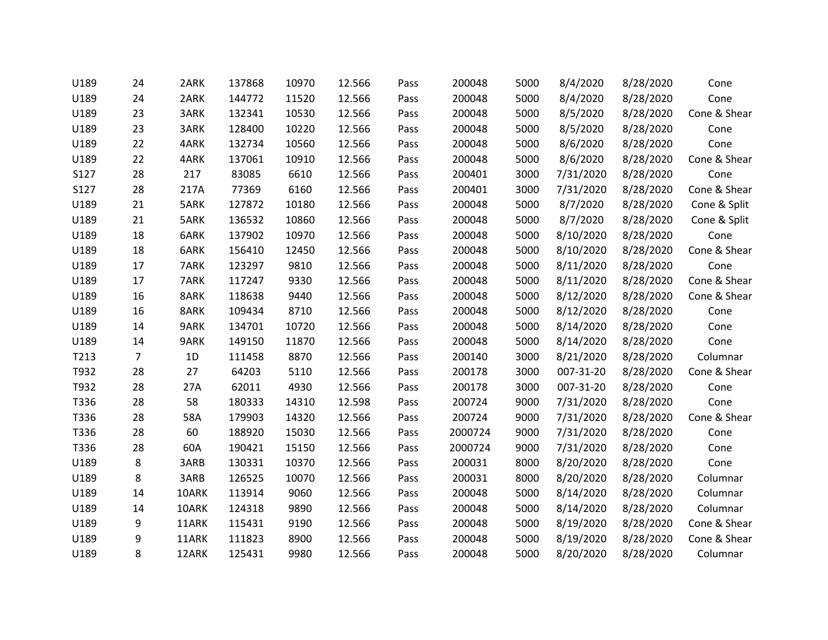| U189 | 24             | 2ARK  | 137868 | 10970 | 12.566 | Pass | 200048  | 5000 | 8/4/2020  | 8/28/2020 | Cone         |
|------|----------------|-------|--------|-------|--------|------|---------|------|-----------|-----------|--------------|
| U189 | 24             | 2ARK  | 144772 | 11520 | 12.566 | Pass | 200048  | 5000 | 8/4/2020  | 8/28/2020 | Cone         |
| U189 | 23             | 3ARK  | 132341 | 10530 | 12.566 | Pass | 200048  | 5000 | 8/5/2020  | 8/28/2020 | Cone & Shear |
| U189 | 23             | 3ARK  | 128400 | 10220 | 12.566 | Pass | 200048  | 5000 | 8/5/2020  | 8/28/2020 | Cone         |
| U189 | 22             | 4ARK  | 132734 | 10560 | 12.566 | Pass | 200048  | 5000 | 8/6/2020  | 8/28/2020 | Cone         |
| U189 | 22             | 4ARK  | 137061 | 10910 | 12.566 | Pass | 200048  | 5000 | 8/6/2020  | 8/28/2020 | Cone & Shear |
| S127 | 28             | 217   | 83085  | 6610  | 12.566 | Pass | 200401  | 3000 | 7/31/2020 | 8/28/2020 | Cone         |
| S127 | 28             | 217A  | 77369  | 6160  | 12.566 | Pass | 200401  | 3000 | 7/31/2020 | 8/28/2020 | Cone & Shear |
| U189 | 21             | 5ARK  | 127872 | 10180 | 12.566 | Pass | 200048  | 5000 | 8/7/2020  | 8/28/2020 | Cone & Split |
| U189 | 21             | 5ARK  | 136532 | 10860 | 12.566 | Pass | 200048  | 5000 | 8/7/2020  | 8/28/2020 | Cone & Split |
| U189 | 18             | 6ARK  | 137902 | 10970 | 12.566 | Pass | 200048  | 5000 | 8/10/2020 | 8/28/2020 | Cone         |
| U189 | 18             | 6ARK  | 156410 | 12450 | 12.566 | Pass | 200048  | 5000 | 8/10/2020 | 8/28/2020 | Cone & Shear |
| U189 | 17             | 7ARK  | 123297 | 9810  | 12.566 | Pass | 200048  | 5000 | 8/11/2020 | 8/28/2020 | Cone         |
| U189 | 17             | 7ARK  | 117247 | 9330  | 12.566 | Pass | 200048  | 5000 | 8/11/2020 | 8/28/2020 | Cone & Shear |
| U189 | 16             | 8ARK  | 118638 | 9440  | 12.566 | Pass | 200048  | 5000 | 8/12/2020 | 8/28/2020 | Cone & Shear |
| U189 | 16             | 8ARK  | 109434 | 8710  | 12.566 | Pass | 200048  | 5000 | 8/12/2020 | 8/28/2020 | Cone         |
| U189 | 14             | 9ARK  | 134701 | 10720 | 12.566 | Pass | 200048  | 5000 | 8/14/2020 | 8/28/2020 | Cone         |
| U189 | 14             | 9ARK  | 149150 | 11870 | 12.566 | Pass | 200048  | 5000 | 8/14/2020 | 8/28/2020 | Cone         |
| T213 | $\overline{7}$ | 1D    | 111458 | 8870  | 12.566 | Pass | 200140  | 3000 | 8/21/2020 | 8/28/2020 | Columnar     |
| T932 | 28             | 27    | 64203  | 5110  | 12.566 | Pass | 200178  | 3000 | 007-31-20 | 8/28/2020 | Cone & Shear |
| T932 | 28             | 27A   | 62011  | 4930  | 12.566 | Pass | 200178  | 3000 | 007-31-20 | 8/28/2020 | Cone         |
| T336 | 28             | 58    | 180333 | 14310 | 12.598 | Pass | 200724  | 9000 | 7/31/2020 | 8/28/2020 | Cone         |
| T336 | 28             | 58A   | 179903 | 14320 | 12.566 | Pass | 200724  | 9000 | 7/31/2020 | 8/28/2020 | Cone & Shear |
| T336 | 28             | 60    | 188920 | 15030 | 12.566 | Pass | 2000724 | 9000 | 7/31/2020 | 8/28/2020 | Cone         |
| T336 | 28             | 60A   | 190421 | 15150 | 12.566 | Pass | 2000724 | 9000 | 7/31/2020 | 8/28/2020 | Cone         |
| U189 | 8              | 3ARB  | 130331 | 10370 | 12.566 | Pass | 200031  | 8000 | 8/20/2020 | 8/28/2020 | Cone         |
| U189 | 8              | 3ARB  | 126525 | 10070 | 12.566 | Pass | 200031  | 8000 | 8/20/2020 | 8/28/2020 | Columnar     |
| U189 | 14             | 10ARK | 113914 | 9060  | 12.566 | Pass | 200048  | 5000 | 8/14/2020 | 8/28/2020 | Columnar     |
| U189 | 14             | 10ARK | 124318 | 9890  | 12.566 | Pass | 200048  | 5000 | 8/14/2020 | 8/28/2020 | Columnar     |
| U189 | 9              | 11ARK | 115431 | 9190  | 12.566 | Pass | 200048  | 5000 | 8/19/2020 | 8/28/2020 | Cone & Shear |
| U189 | 9              | 11ARK | 111823 | 8900  | 12.566 | Pass | 200048  | 5000 | 8/19/2020 | 8/28/2020 | Cone & Shear |
| U189 | 8              | 12ARK | 125431 | 9980  | 12.566 | Pass | 200048  | 5000 | 8/20/2020 | 8/28/2020 | Columnar     |